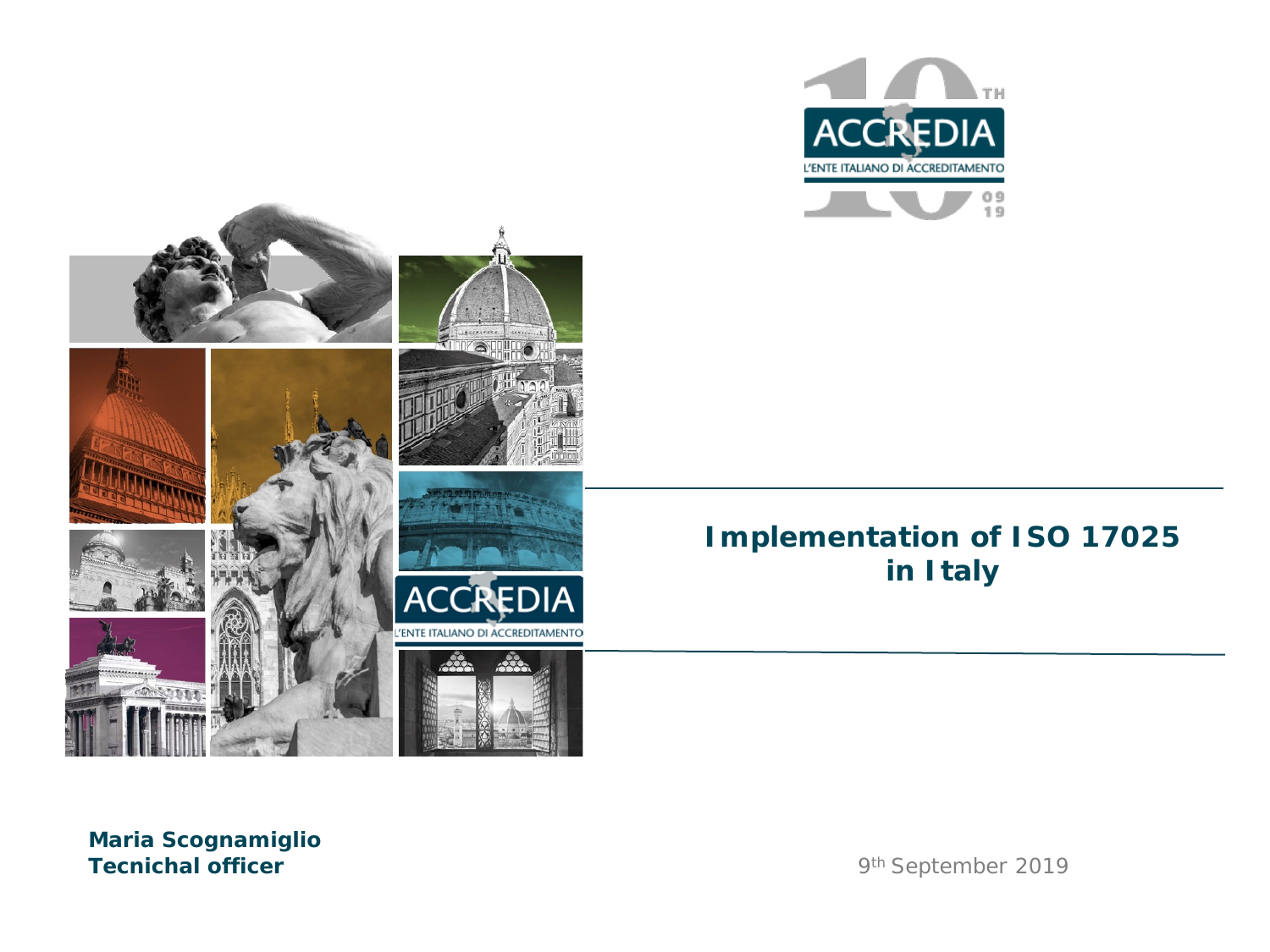



#### **Maria Scognamiglio Tecnichal officer** 9th September 2019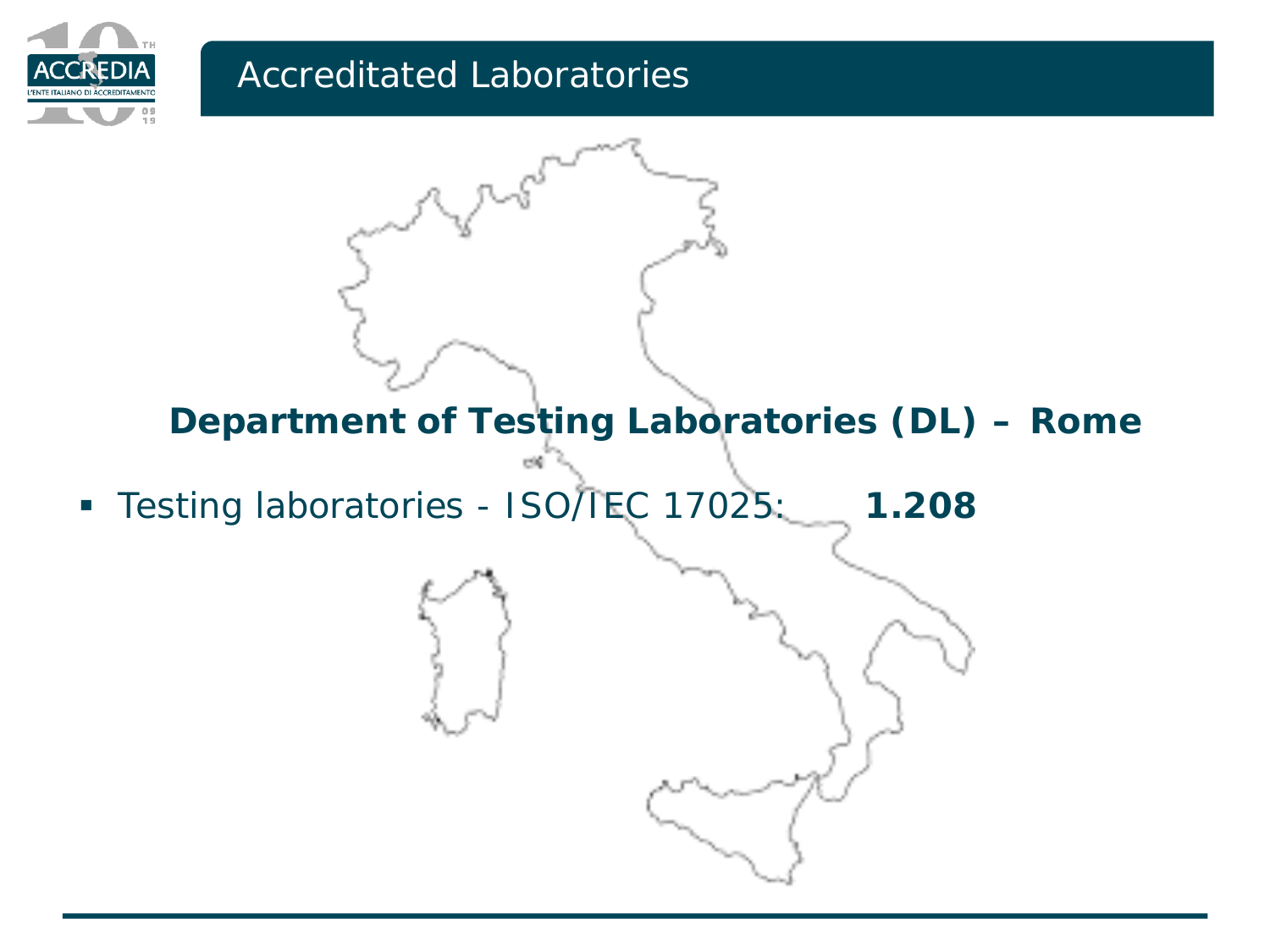

### Accreditated Laboratories

**Department of Testing Laboratories (DL) – Rome**

**Testing laboratories - ISO/TEC 17025: 1.208** 

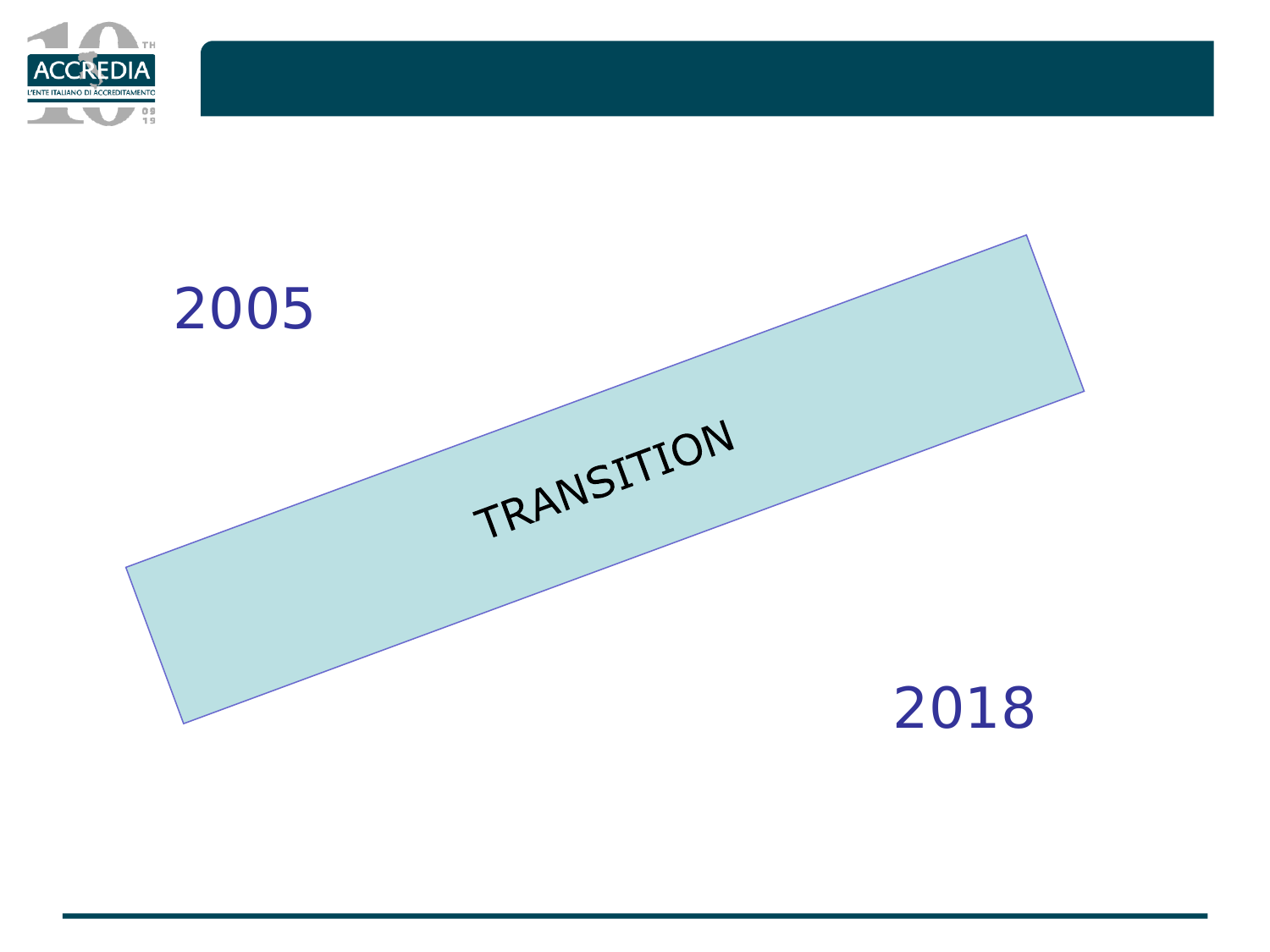

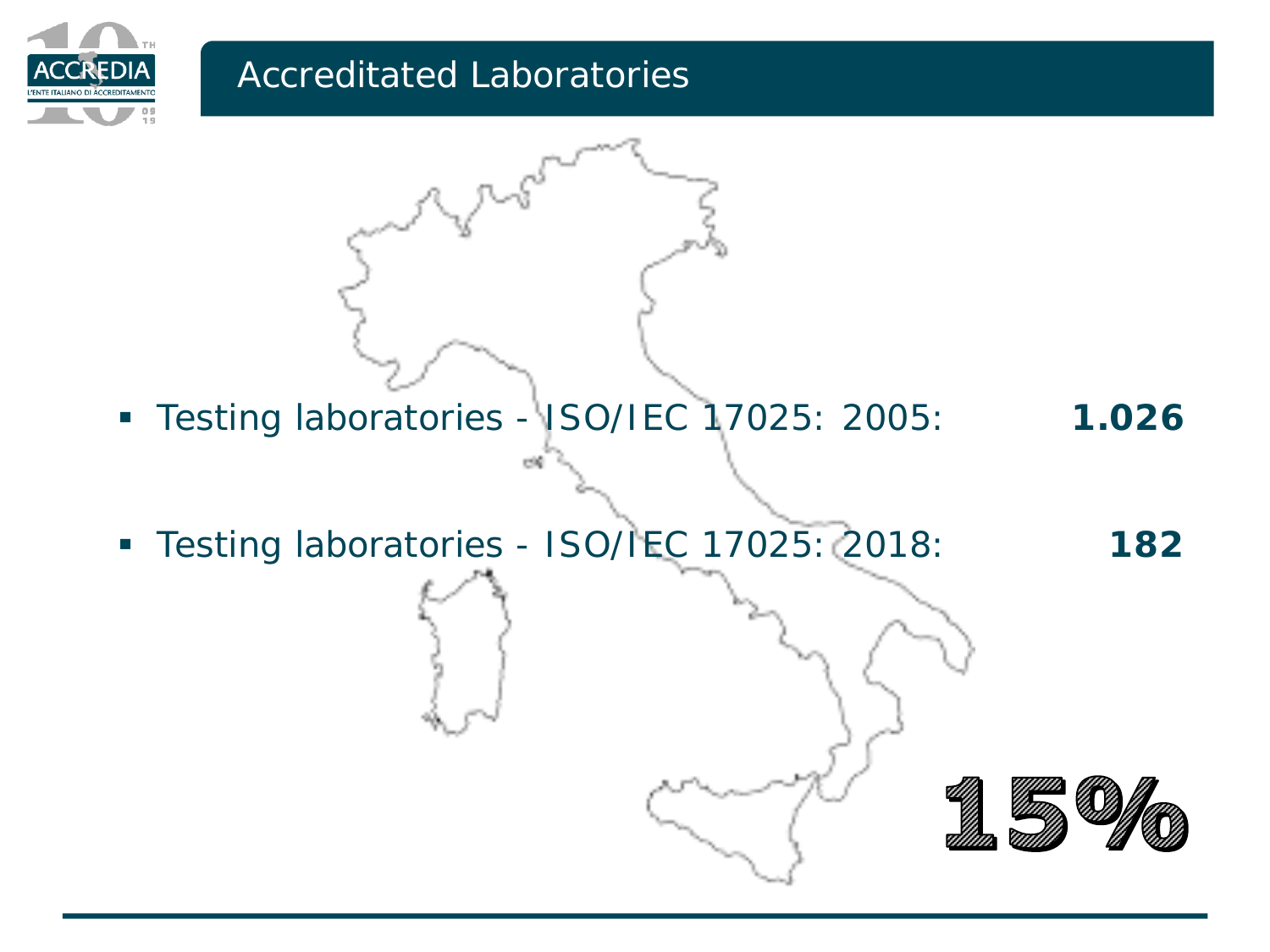

#### Accreditated Laboratories



Testing laboratories - ISO/IEC 17025: 2018: **182**

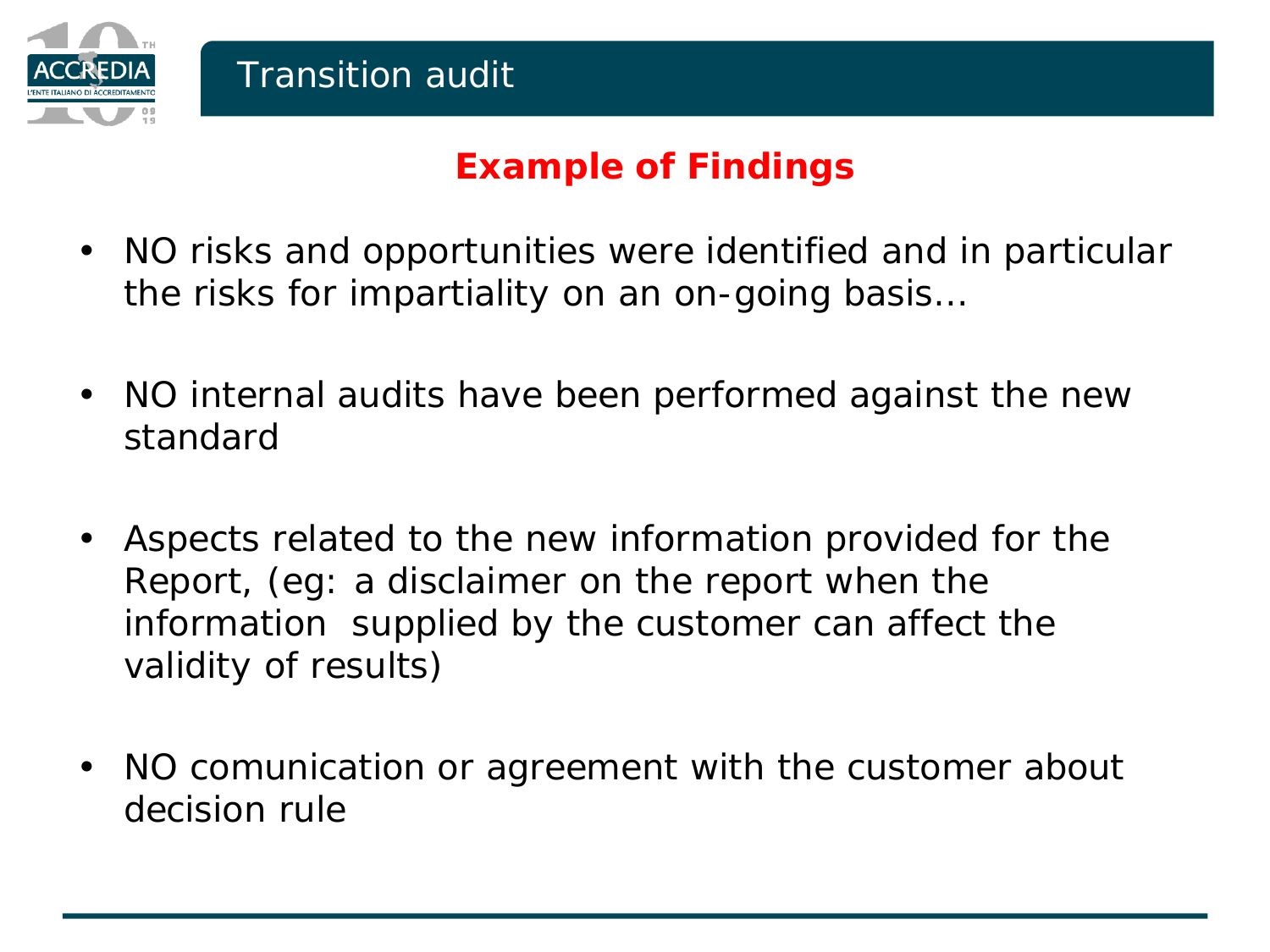

### **Example of Findings**

- NO risks and opportunities were identified and in particular the risks for impartiality on an on-going basis…
- NO internal audits have been performed against the new standard
- Aspects related to the new information provided for the Report, (eg: a disclaimer on the report when the information supplied by the customer can affect the validity of results)
- NO comunication or agreement with the customer about decision rule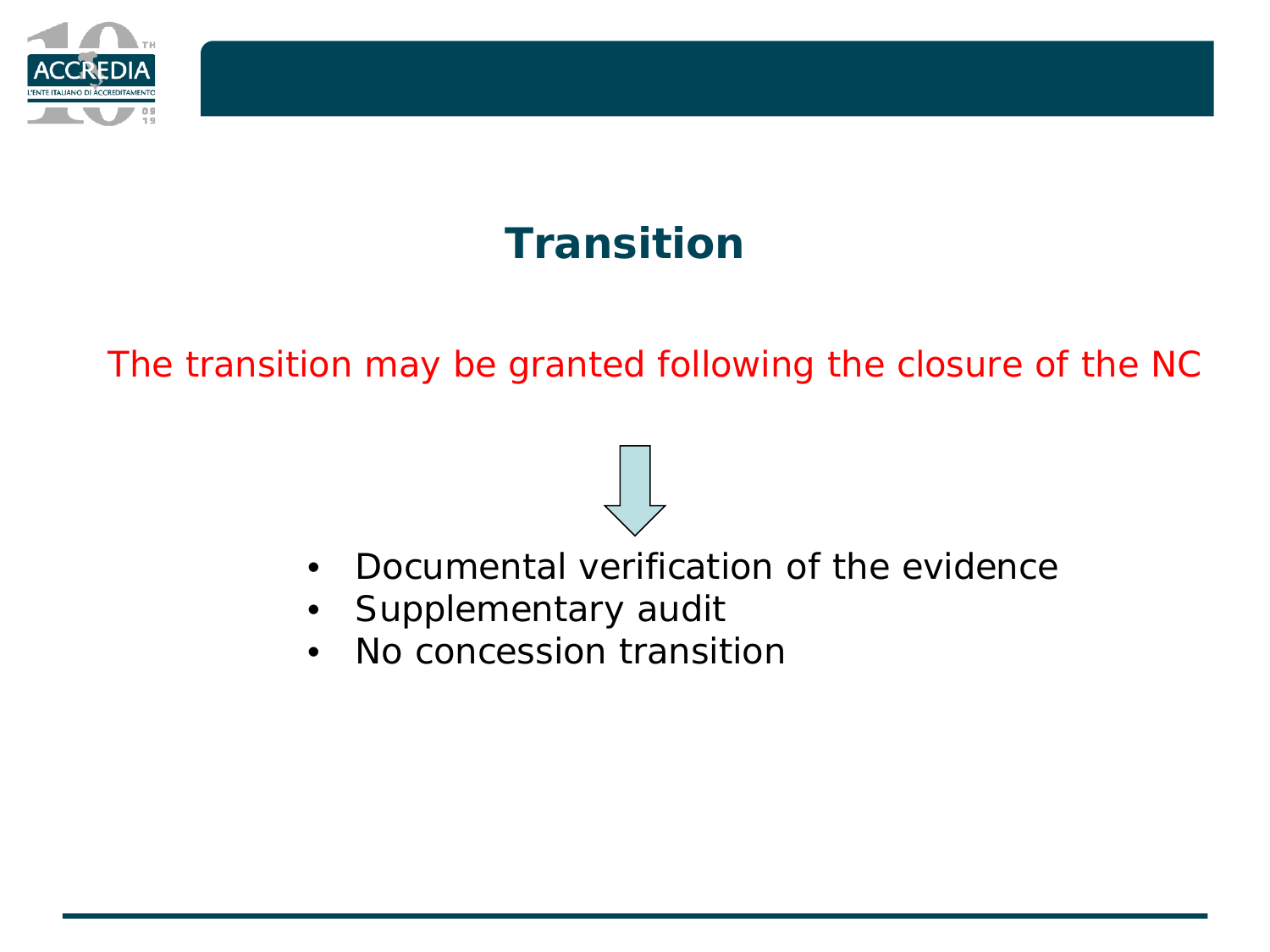

## **Transition**

The transition may be granted following the closure of the NC

- Documental verification of the evidence
- Supplementary audit
- No concession transition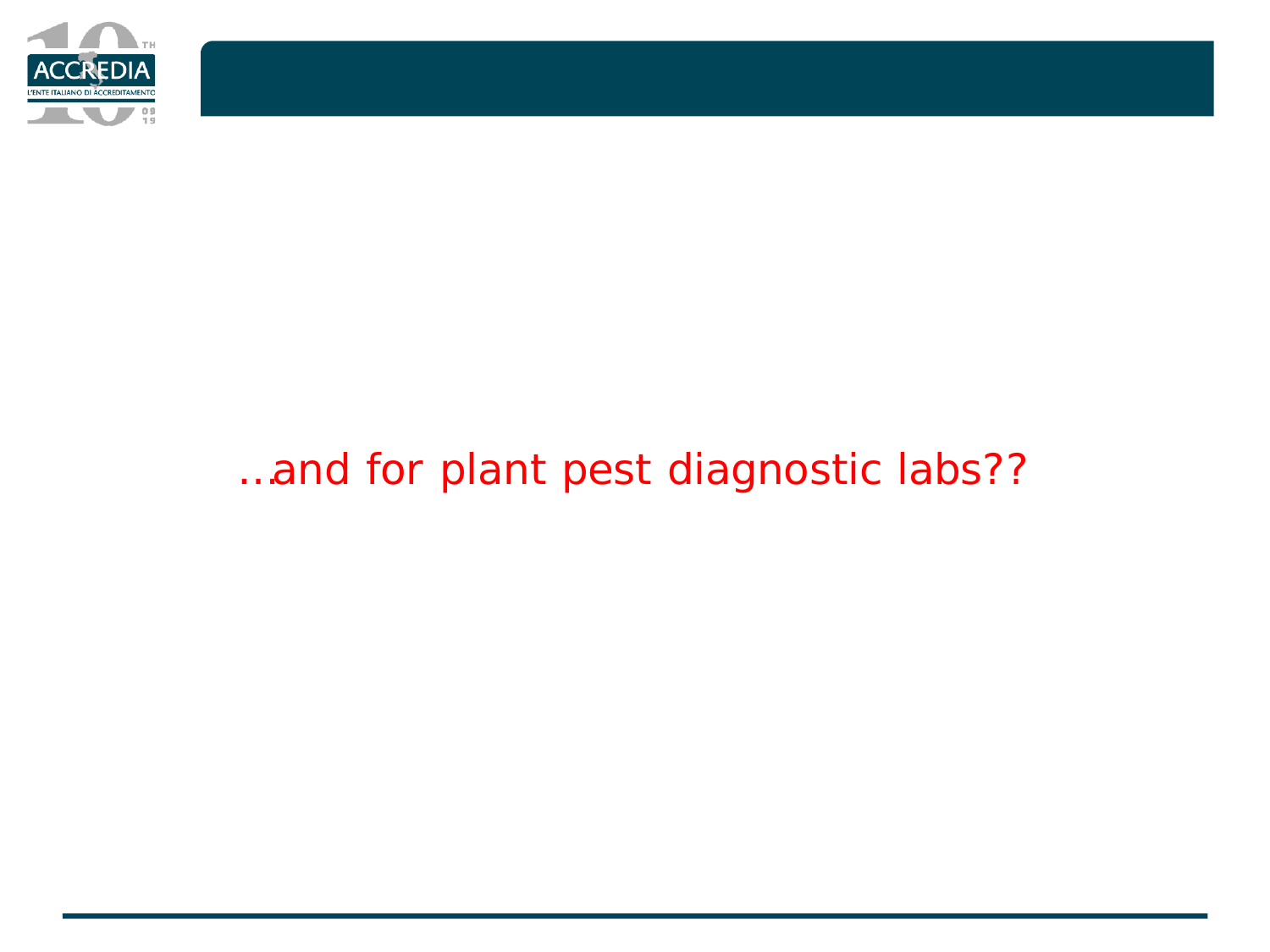

## *…and for plant pest diagnostic labs??*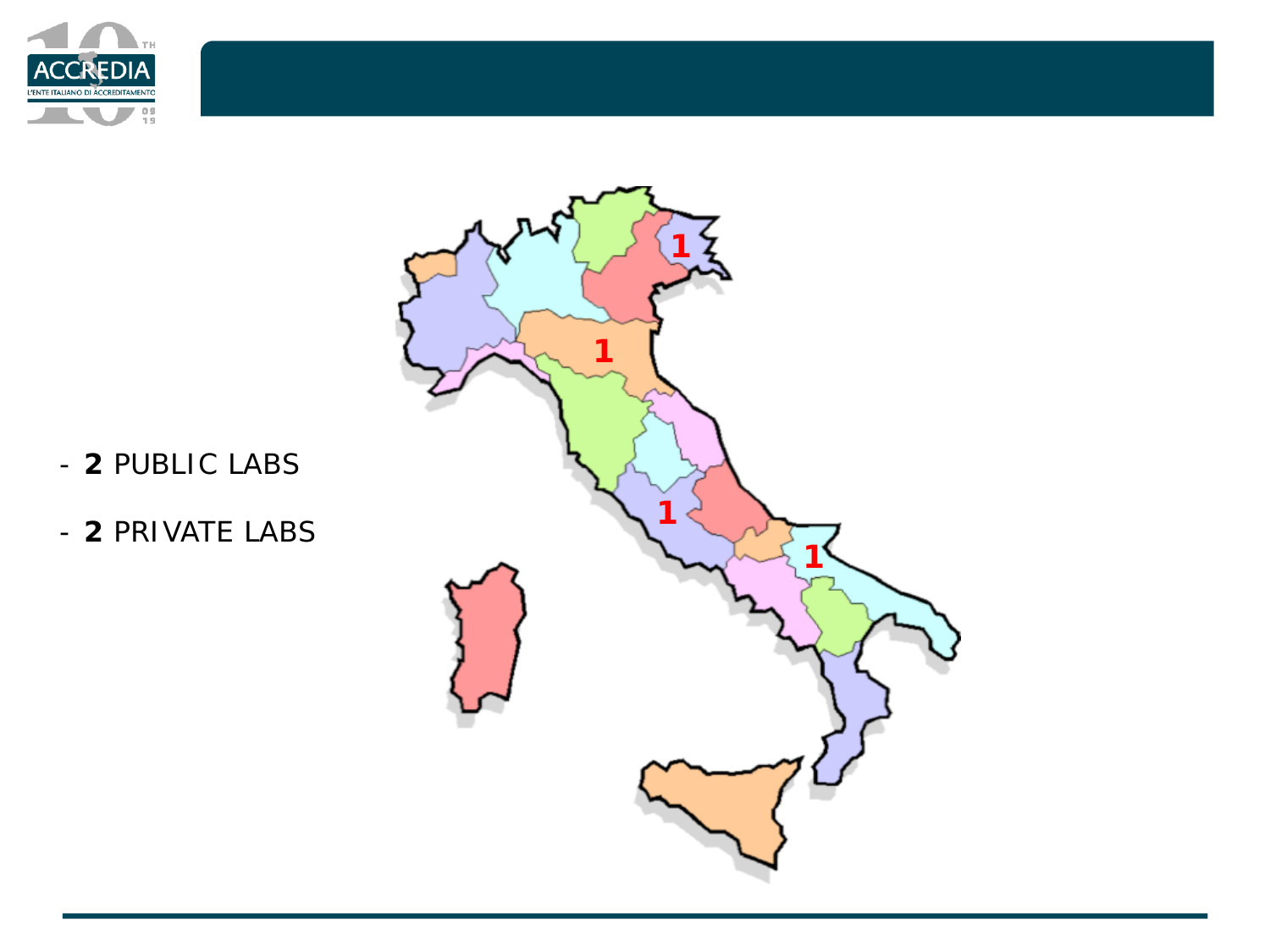



- **2** PUBLIC LABS
- **2** PRIVATE LABS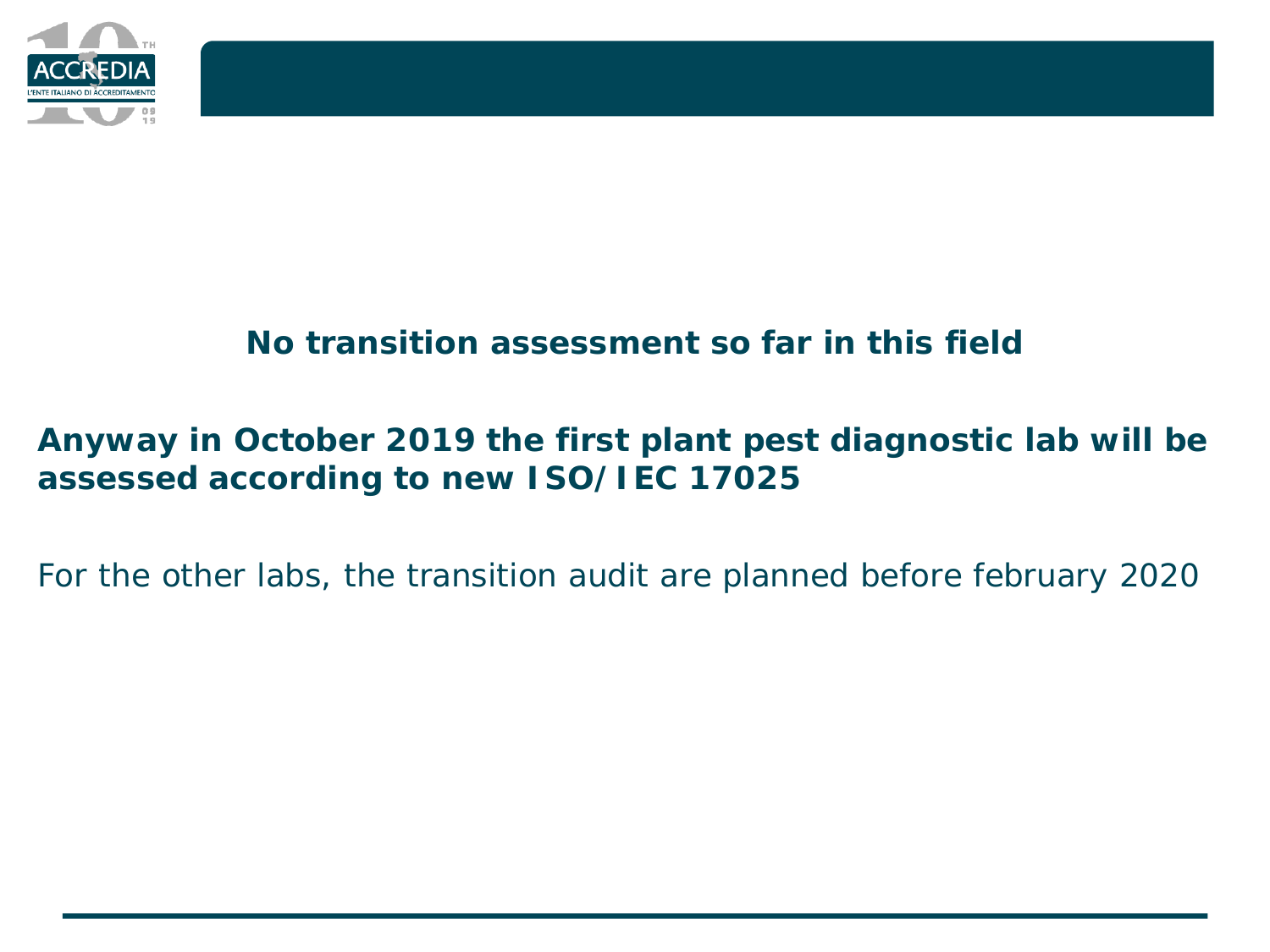

### **No transition assessment so far in this field**

### **Anyway in October 2019 the first plant pest diagnostic lab will be assessed according to new ISO/IEC 17025**

For the other labs, the transition audit are planned before february 2020